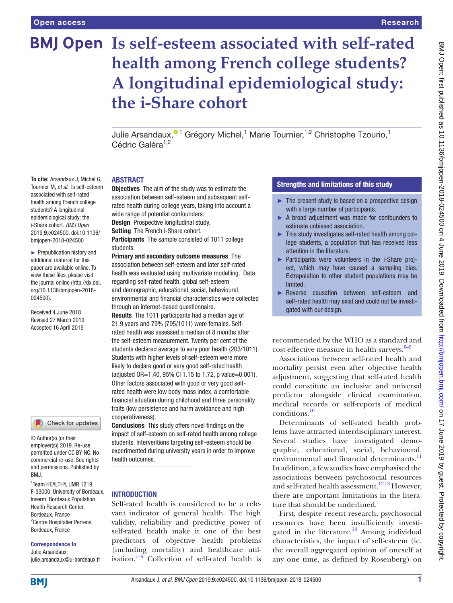**To cite:** Arsandaux J, Michel G, Tournier M, *et al*. Is self-esteem associated with self-rated health among French college students? A longitudinal epidemiological study: the i-Share cohort. *BMJ Open* 2019;9:e024500. doi:10.1136/ bmjopen-2018-024500 ► Prepublication history and additional material for this paper are available online. To view these files, please visit the journal online [\(http://dx.doi.](http://dx.doi.org/10.1136/bmjopen-2018-024500) [org/10.1136/bmjopen-2018-](http://dx.doi.org/10.1136/bmjopen-2018-024500)

[024500\)](http://dx.doi.org/10.1136/bmjopen-2018-024500).

Received 4 June 2018 Revised 27 March 2019 Accepted 16 April 2019

# **BMJ Open Is self-esteem associated with self-rated health among French college students? A longitudinal epidemiological study: the i-Share cohort**

Julie Arsandaux[,](http://orcid.org/0000-0002-3036-5866)<sup>01</sup> Grégory Michel,<sup>1</sup> Marie Tournier,<sup>1,2</sup> Christophe Tzourio,<sup>1</sup> Cédric Galéra<sup>1,2</sup>

#### **ABSTRACT**

Objectives The aim of the study was to estimate the association between self-esteem and subsequent selfrated health during college years, taking into account a wide range of potential confounders.

Design Prospective longitudinal study.

Setting The French i-Share cohort.

Participants The sample consisted of 1011 college students.

Primary and secondary outcome measures The association between self-esteem and later self-rated health was evaluated using multivariate modelling. Data regarding self-rated health, global self-esteem and demographic, educational, social, behavioural, environmental and financial characteristics were collected through an internet-based questionnaire.

Results The 1011 participants had a median age of 21.9 years and 79% (795/1011) were females. Selfrated health was assessed a median of 8 months after the self-esteem measurement. Twenty per cent of the students declared average to very poor health (203/1011). Students with higher levels of self-esteem were more likely to declare good or very good self-rated health (adjusted OR=1.40, 95% CI 1.15 to 1.72, p value=0.001). Other factors associated with good or very good selfrated health were low body mass index, a comfortable financial situation during childhood and three personality traits (low persistence and harm avoidance and high cooperativeness).

Conclusions This study offers novel findings on the impact of self-esteem on self-rated health among college students. Interventions targeting self-esteem should be experimented during university years in order to improve health outcomes.

#### **INTRODUCTION**

Self-rated health is considered to be a relevant indicator of general health. The high validity, reliability and predictive power of self-rated health make it one of the best predictors of objective health problems (including mortality) and healthcare utilisation. $1-5$  Collection of self-rated health is

# Strengths and limitations of this study

- $\blacktriangleright$  The present study is based on a prospective design with a large number of participants.
- ► A broad adjustment was made for confounders to estimate unbiased association.
- ► This study investigates self-rated health among college students, a population that has received less attention in the literature.
- ► Participants were volunteers in the i-Share project, which may have caused a sampling bias. Extrapolation to other student populations may be limited.
- ► Reverse causation between self-esteem and self-rated health may exist and could not be investigated with our design.

recommended by the WHO as a standard and cost-effective measure in health surveys. $6-9$ 

Associations between self-rated health and mortality persist even after objective health adjustment, suggesting that self-rated health could constitute an inclusive and universal predictor alongside clinical examination, medical records or self-reports of medical conditions.[10](#page-9-2)

Determinants of self-rated health problems have attracted interdisciplinary interest. Several studies have investigated demographic, educational, social, behavioural, environmental and financial determinants.<sup>[11](#page-9-3)</sup> In addition, a few studies have emphasised the associations between psychosocial resources and self-rated health assessment.<sup>12 13</sup> However, there are important limitations in the literature that should be underlined.

First, despite recent research, psychosocial resources have been insufficiently investigated in the literature.<sup>13</sup> Among individual characteristics, the impact of self-esteem (ie, the overall aggregated opinion of oneself at any one time, as defined by Rosenberg) on

employer(s)) 2019. Re-use permitted under CC BY-NC. No commercial re-use. See rights

and permissions. Published by

Check for updates

© Author(s) (or their

RM<sub>J</sub>

**BMI** 

1 Team HEALTHY, UMR 1219, F-33000, University of Bordeaux, Inserm, Bordeaux Population Health Research Center, Bordeaux, France <sup>2</sup> Centre Hospitalier Perrens, Bordeaux, France

Correspondence to Julie Arsandaux;

julie.arsandaux@u-bordeaux.fr

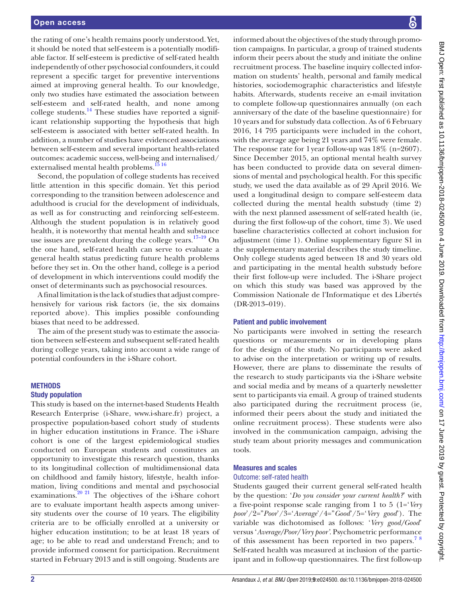the rating of one's health remains poorly understood. Yet, it should be noted that self-esteem is a potentially modifiable factor. If self-esteem is predictive of self-rated health independently of other psychosocial confounders, it could represent a specific target for preventive interventions aimed at improving general health. To our knowledge, only two studies have estimated the association between self-esteem and self-rated health, and none among college students.<sup>14</sup> These studies have reported a significant relationship supporting the hypothesis that high self-esteem is associated with better self-rated health. In addition, a number of studies have evidenced associations between self-esteem and several important health-related outcomes: academic success, well-being and internalised/ externalised mental health problems.<sup>1516</sup>

Second, the population of college students has received little attention in this specific domain. Yet this period corresponding to the transition between adolescence and adulthood is crucial for the development of individuals, as well as for constructing and reinforcing self-esteem. Although the student population is in relatively good health, it is noteworthy that mental health and substance use issues are prevalent during the college years.<sup>17-19</sup> On the one hand, self-rated health can serve to evaluate a general health status predicting future health problems before they set in. On the other hand, college is a period of development in which interventions could modify the onset of determinants such as psychosocial resources.

A final limitation is the lack of studies that adjust comprehensively for various risk factors (ie, the six domains reported above). This implies possible confounding biases that need to be addressed.

The aim of the present study was to estimate the association between self-esteem and subsequent self-rated health during college years, taking into account a wide range of potential confounders in the i-Share cohort.

#### **METHODS**

#### Study population

This study is based on the internet-based Students Health Research Enterprise (i-Share, <www.i-share.fr>) project, a prospective population-based cohort study of students in higher education institutions in France. The i-Share cohort is one of the largest epidemiological studies conducted on European students and constitutes an opportunity to investigate this research question, thanks to its longitudinal collection of multidimensional data on childhood and family history, lifestyle, health information, living conditions and mental and psychosocial examinations.<sup>20 21</sup> The objectives of the i-Share cohort are to evaluate important health aspects among university students over the course of 10 years. The eligibility criteria are to be officially enrolled at a university or higher education institution; to be at least 18 years of age; to be able to read and understand French; and to provide informed consent for participation. Recruitment started in February 2013 and is still ongoing. Students are

informed about the objectives of the study through promotion campaigns. In particular, a group of trained students inform their peers about the study and initiate the online recruitment process. The baseline inquiry collected information on students' health, personal and family medical histories, sociodemographic characteristics and lifestyle habits. Afterwards, students receive an e-mail invitation to complete follow-up questionnaires annually (on each anniversary of the date of the baseline questionnaire) for 10 years and for substudy data collection. As of 6 February 2016, 14 795 participants were included in the cohort, with the average age being 21 years and 74% were female. The response rate for 1year follow-up was 18% (n=2607). Since December 2015, an optional mental health survey has been conducted to provide data on several dimensions of mental and psychological health. For this specific study, we used the data available as of 29 April 2016. We used a longitudinal design to compare self-esteem data collected during the mental health substudy (time 2) with the next planned assessment of self-rated health (ie, during the first follow-up of the cohort, time 3). We used baseline characteristics collected at cohort inclusion for adjustment (time 1). Online [supplementary figure S1](https://dx.doi.org/10.1136/bmjopen-2018-024500) in the supplementary material describes the study timeline. Only college students aged between 18 and 30 years old and participating in the mental health substudy before their first follow-up were included. The i-Share project on which this study was based was approved by the Commission Nationale de l'Informatique et des Libertés (DR-2013–019).

#### Patient and public involvement

No participants were involved in setting the research questions or measurements or in developing plans for the design of the study. No participants were asked to advise on the interpretation or writing up of results. However, there are plans to disseminate the results of the research to study participants via the i-Share website and social media and by means of a quarterly newsletter sent to participants via email. A group of trained students also participated during the recruitment process (ie, informed their peers about the study and initiated the online recruitment process). These students were also involved in the communication campaign, advising the study team about priority messages and communication tools.

#### Measures and scales

# Outcome: self-rated health

Students gauged their current general self-rated health by the question: '*Do you consider your current health?*' with a five-point response scale ranging from 1 to 5 (1='*Very poor*'/2="*Poor*'/3='*Average*'/4="*Good*'/5='*Very good*'). The variable was dichotomised as follows: '*Very good/Good*' versus '*Average/Poor/Very poor'*. Psychometric performance of this assessment has been reported in two papers.<sup>78</sup> Self-rated health was measured at inclusion of the participant and in follow-up questionnaires. The first follow-up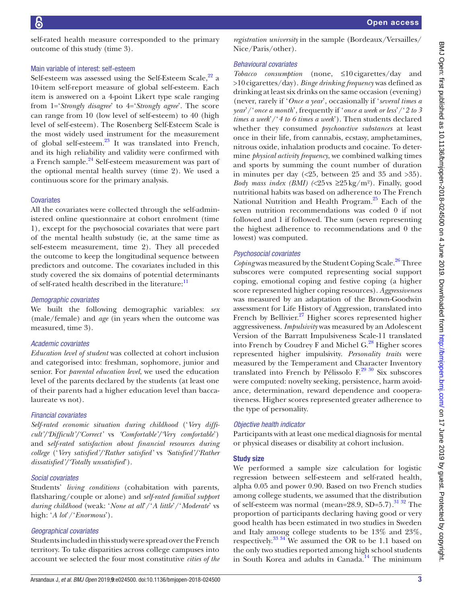self-rated health measure corresponded to the primary outcome of this study (time 3).

#### Main variable of interest: self-esteem

Self-esteem was assessed using the Self-Esteem Scale,<sup>[22](#page-10-1)</sup> a 10-item self-report measure of global self-esteem. Each item is answered on a 4-point Likert type scale ranging from 1='*Strongly disagree*' to 4='*Strongly agree*'. The score can range from 10 (low level of self-esteem) to 40 (high level of self-esteem). The Rosenberg Self-Esteem Scale is the most widely used instrument for the measurement of global self-esteem.<sup>23</sup> It was translated into French, and its high reliability and validity were confirmed with a French sample.[24](#page-10-3) Self-esteem measurement was part of the optional mental health survey (time 2). We used a continuous score for the primary analysis.

#### **Covariates**

All the covariates were collected through the self-administered online questionnaire at cohort enrolment (time 1), except for the psychosocial covariates that were part of the mental health substudy (ie, at the same time as self-esteem measurement, time 2). They all preceded the outcome to keep the longitudinal sequence between predictors and outcome. The covariates included in this study covered the six domains of potential determinants of self-rated health described in the literature:<sup>[11](#page-9-3)</sup>

#### *Demographic covariates*

We built the following demographic variables: *sex* (male/female) and *age* (in years when the outcome was measured, time 3).

#### *Academic covariates*

*Education level of student* was collected at cohort inclusion and categorised into: freshman, sophomore, junior and senior. For *parental education level*, we used the education level of the parents declared by the students (at least one of their parents had a higher education level than baccalaureate vs not).

# *Financial covariates*

*Self-rated economic situation during childhood* ('*Very difficult'/'Difficult'/'Correct'* vs *'Comfortable'/'Very comfortable*') and s*elf-rated satisfaction about financial resources during college* ('*Very satisfied'/'Rather satisfied'* vs *'Satisfied'/'Rather dissatisfied'/'Totally unsatisfied*').

# *Social covariates*

Students' *living conditions* (cohabitation with parents, flatsharing/couple or alone) and *self-rated familial support during childhood* (weak: '*None at all*'/'*A little*'/'*Moderate*' vs high: '*A lot*'/'*Enormous*').

# *Geographical covariates*

Students included in this study were spread over the French territory. To take disparities across college campuses into account we selected the four most constitutive *cities of the* 

*registration university* in the sample (Bordeaux/Versailles/ Nice/Paris/other).

# *Behavioural covariates*

*Tobacco consumption* (none, ≤10cigarettes/day and >10cigarettes/day). *Binge drinking frequency* was defined as drinking at least six drinks on the same occasion (evening) (never, rarely if '*Once a year*', occasionally if '*several times a year*'/'*once a month*', frequently if '*once a week or less*'/'*2 to 3 times a week*'/'*4 to 6 times a week*'). Then students declared whether they consumed *psychoactive substances* at least once in their life, from cannabis, ecstasy, amphetamines, nitrous oxide, inhalation products and cocaine. To determine *physical activity frequency*, we combined walking times and sports by summing the count number of duration in minutes per day  $\langle$  <25, between 25 and 35 and >35). *Body mass index (BMI) (*<25vs ≥25kg/m²). Finally, good nutritional habits was based on adherence to The French National Nutrition and Health Program.<sup>25</sup> Each of the seven nutrition recommendations was coded 0 if not followed and 1 if followed. The sum (seven representing the highest adherence to recommendations and 0 the lowest) was computed.

# *Psychosocial covariates*

*Coping* was measured by the Student Coping Scale.<sup>[26](#page-10-5)</sup> Three subscores were computed representing social support coping, emotional coping and festive coping (a higher score represented higher coping resources). *Aggressiveness* was measured by an adaptation of the Brown-Goodwin assessment for Life History of Aggression, translated into French by Bellivier. $27$  Higher scores represented higher aggressiveness. *Impulsivity* was measured by an Adolescent Version of the Barratt Impulsiveness Scale-11 translated into French by Coudrey F and Michel  $G<sup>28</sup>$  $G<sup>28</sup>$  $G<sup>28</sup>$  Higher scores represented higher impulsivity. *Personality traits* were measured by the Temperament and Character Inventory translated into French by Pélissolo  $F^{29}$  30 Six subscores were computed: novelty seeking, persistence, harm avoidance, determination, reward dependence and cooperativeness. Higher scores represented greater adherence to the type of personality.

# *Objective health indicator*

Participants with at least one medical diagnosis for mental or physical diseases or disability at cohort inclusion.

# Study size

We performed a sample size calculation for logistic regression between self-esteem and self-rated health, alpha 0.05 and power 0.90. Based on two French studies among college students, we assumed that the distribution of self-esteem was normal (mean= $28.9$ , SD= $5.7$ ).<sup>31 32</sup> The proportion of participants declaring having good or very good health has been estimated in two studies in Sweden and Italy among college students to be 13% and 23%, respectively.[33 34](#page-10-10) We assumed the OR to be 1.1 based on the only two studies reported among high school students in South Korea and adults in Canada.<sup>14</sup> The minimum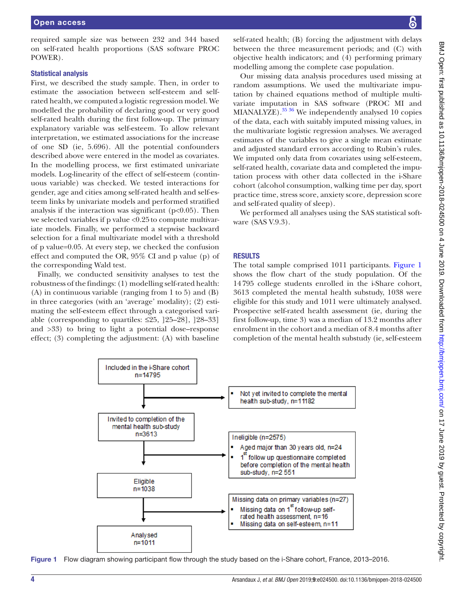required sample size was between 232 and 344 based on self-rated health proportions (SAS software PROC POWER).

#### Statistical analysis

First, we described the study sample. Then, in order to estimate the association between self-esteem and selfrated health, we computed a logistic regression model. We modelled the probability of declaring good or very good self-rated health during the first follow-up. The primary explanatory variable was self-esteem. To allow relevant interpretation, we estimated associations for the increase of one SD (ie, 5.696). All the potential confounders described above were entered in the model as covariates. In the modelling process, we first estimated univariate models. Log-linearity of the effect of self-esteem (continuous variable) was checked. We tested interactions for gender, age and cities among self-rated health and self-esteem links by univariate models and performed stratified analysis if the interaction was significant ( $p<0.05$ ). Then we selected variables if p value <0.25to compute multivariate models. Finally, we performed a stepwise backward selection for a final multivariate model with a threshold of p value=0.05. At every step, we checked the confusion effect and computed the OR, 95% CI and p value (p) of the corresponding Wald test.

Finally, we conducted sensitivity analyses to test the robustness of the findings: (1) modelling self-rated health: (A) in continuous variable (ranging from 1 to 5) and (B) in three categories (with an 'average' modality); (2) estimating the self-esteem effect through a categorised variable (corresponding to quartiles:  $\leq 25$ , [25–28], [28–33] and >33) to bring to light a potential dose–response effect; (3) completing the adjustment: (A) with baseline

self-rated health; (B) forcing the adjustment with delays between the three measurement periods; and (C) with objective health indicators; and (4) performing primary modelling among the complete case population.

Our missing data analysis procedures used missing at random assumptions. We used the multivariate imputation by chained equations method of multiple multivariate imputation in SAS software (PROC MI and MIANALYZE). $35\frac{36}{10}$  We independently analysed 10 copies of the data, each with suitably imputed missing values, in the multivariate logistic regression analyses. We averaged estimates of the variables to give a single mean estimate and adjusted standard errors according to Rubin's rules. We imputed only data from covariates using self-esteem, self-rated health, covariate data and completed the imputation process with other data collected in the i-Share cohort (alcohol consumption, walking time per day, sport practice time, stress score, anxiety score, depression score and self-rated quality of sleep).

We performed all analyses using the SAS statistical software (SAS V.9.3).

#### **RESULTS**

The total sample comprised 1011 participants. [Figure](#page-3-0) 1 shows the flow chart of the study population. Of the 14795 college students enrolled in the i-Share cohort, 3613 completed the mental health substudy, 1038 were eligible for this study and 1011 were ultimately analysed. Prospective self-rated health assessment (ie, during the first follow-up, time 3) was a median of 13.2 months after enrolment in the cohort and a median of 8.4 months after completion of the mental health substudy (ie, self-esteem



<span id="page-3-0"></span>Figure 1 Flow diagram showing participant flow through the study based on the i-Share cohort, France, 2013–2016.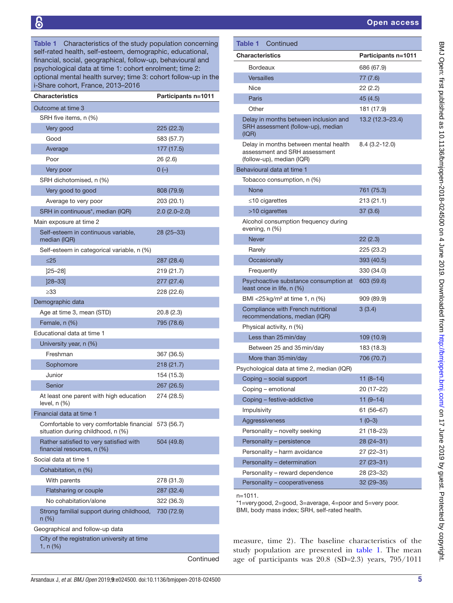<span id="page-4-0"></span>Table 1 Characteristics of the study population concerning self-rated health, self-esteem, demographic, educational, financial, social, geographical, follow-up, behavioural and psychological data at time 1: cohort enrolment; time 2: optional mental health survey; time 3: cohort follow-up in the i-Share cohort, France, 2013–2016

| <b>Characteristics</b>                                                                    |                | <b>Participants n=1011</b> |
|-------------------------------------------------------------------------------------------|----------------|----------------------------|
| Outcome at time 3                                                                         |                |                            |
| SRH five items, n (%)                                                                     |                |                            |
| Very good                                                                                 | 225 (22.3)     |                            |
| Good                                                                                      | 583 (57.7)     |                            |
| Average                                                                                   | 177 (17.5)     |                            |
| Poor                                                                                      | 26 (2.6)       |                            |
| Very poor                                                                                 | $0(-)$         |                            |
| SRH dichotomised, n (%)                                                                   |                |                            |
| Very good to good                                                                         | 808 (79.9)     |                            |
| Average to very poor                                                                      | 203 (20.1)     |                            |
| SRH in continuous*, median (IQR)                                                          | $2.0(2.0-2.0)$ |                            |
| Main exposure at time 2                                                                   |                |                            |
| Self-esteem in continuous variable,<br>median (IQR)                                       | 28 (25-33)     |                            |
| Self-esteem in categorical variable, n (%)                                                |                |                            |
| $\leq$ 25                                                                                 | 287 (28.4)     |                            |
| $[25 - 28]$                                                                               | 219 (21.7)     |                            |
| $[28 - 33]$                                                                               | 277 (27.4)     |                            |
| $\geq$ 33                                                                                 | 228 (22.6)     |                            |
| Demographic data                                                                          |                |                            |
| Age at time 3, mean (STD)                                                                 | 20.8 (2.3)     |                            |
| Female, n (%)                                                                             | 795 (78.6)     |                            |
| Educational data at time 1                                                                |                |                            |
| University year, n (%)                                                                    |                |                            |
| Freshman                                                                                  | 367 (36.5)     |                            |
| Sophomore                                                                                 | 218 (21.7)     |                            |
| Junior                                                                                    | 154 (15.3)     |                            |
| Senior                                                                                    | 267 (26.5)     |                            |
| At least one parent with high education<br>level, n (%)                                   | 274 (28.5)     |                            |
| Financial data at time 1                                                                  |                |                            |
| Comfortable to very comfortable financial 573 (56.7)<br>situation during childhood, n (%) |                |                            |
| Rather satisfied to very satisfied with<br>financial resources, n (%)                     | 504 (49.8)     |                            |
| Social data at time 1                                                                     |                |                            |
| Cohabitation, n (%)                                                                       |                |                            |
| With parents                                                                              | 278 (31.3)     |                            |
| Flatsharing or couple                                                                     | 287 (32.4)     |                            |
| No cohabitation/alone                                                                     | 322 (36.3)     |                            |
| Strong familial support during childhood,<br>n (%)                                        | 730 (72.9)     |                            |
| Geographical and follow-up data                                                           |                |                            |
| City of the registration university at time<br>1, $n$ (%)                                 |                |                            |
|                                                                                           |                | Continued                  |

| Continued<br>Table 1                                                                                |                            |
|-----------------------------------------------------------------------------------------------------|----------------------------|
| Characteristics                                                                                     | <b>Participants n=1011</b> |
| <b>Bordeaux</b>                                                                                     | 686 (67.9)                 |
| <b>Versailles</b>                                                                                   | 77 (7.6)                   |
| Nice                                                                                                | 22 (2.2)                   |
| Paris                                                                                               | 45 (4.5)                   |
| Other                                                                                               | 181 (17.9)                 |
| Delay in months between inclusion and<br>SRH assessment (follow-up), median<br>(IQR)                | 13.2 (12.3-23.4)           |
| Delay in months between mental health<br>assessment and SRH assessment<br>(follow-up), median (IQR) | $8.4(3.2 - 12.0)$          |
| Behavioural data at time 1                                                                          |                            |
| Tobacco consumption, n (%)                                                                          |                            |
| None                                                                                                | 761 (75.3)                 |
| $\leq$ 10 cigarettes                                                                                | 213 (21.1)                 |
| >10 cigarettes                                                                                      | 37(3.6)                    |
| Alcohol consumption frequency during<br>evening, n (%)                                              |                            |
| <b>Never</b>                                                                                        | 22(2.3)                    |
| Rarely                                                                                              | 225 (23.2)                 |
| Occasionally                                                                                        | 393 (40.5)                 |
| Frequently                                                                                          | 330 (34.0)                 |
| Psychoactive substance consumption at<br>least once in life, n (%)                                  | 603 (59.6)                 |
| BMI <25 kg/m <sup>2</sup> at time 1, n $(\%)$                                                       | 909 (89.9)                 |
| Compliance with French nutritional<br>recommendations, median (IQR)                                 | 3(3.4)                     |
| Physical activity, n (%)                                                                            |                            |
| Less than 25 min/day                                                                                | 109 (10.9)                 |
| Between 25 and 35 min/day                                                                           | 183 (18.3)                 |
| More than 35 min/day                                                                                | 706 (70.7)                 |
| Psychological data at time 2, median (IQR)                                                          |                            |
| Coping - social support                                                                             | $11(8-14)$                 |
| Coping - emotional                                                                                  | 20 (17-22)                 |
| Coping - festive-addictive                                                                          | $11(9-14)$                 |
| Impulsivity                                                                                         | $61(56 - 67)$              |
| Aggressiveness                                                                                      | $1(0-3)$                   |
| Personality - novelty seeking                                                                       | 21 (18-23)                 |
| Personality - persistence                                                                           | 28 (24-31)                 |
| Personality - harm avoidance                                                                        | $27(22-31)$                |
| Personality - determination                                                                         | $27(23 - 31)$              |
| Personality - reward dependence                                                                     | 28 (23-32)                 |
| Personality - cooperativeness                                                                       | 32 (29-35)                 |

n=1011.

\*1=verygood, 2=good, 3=average, 4=poor and 5=very poor. BMI, body mass index; SRH, self-rated health.

measure, time 2). The baseline characteristics of the study population are presented in [table](#page-4-0) 1. The mean age of participants was 20.8 (SD=2.3) years, 795/1011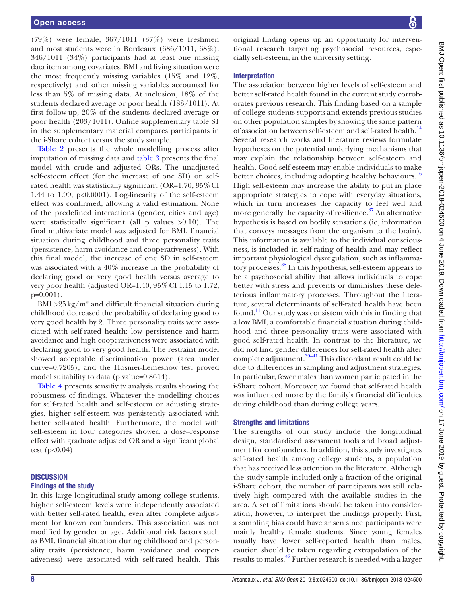(79%) were female, 367/1011 (37%) were freshmen and most students were in Bordeaux (686/1011, 68%). 346/1011 (34%) participants had at least one missing data item among covariates. BMI and living situation were the most frequently missing variables (15% and 12%, respectively) and other missing variables accounted for less than 5% of missing data. At inclusion, 18% of the students declared average or poor health (183/1011). At first follow-up, 20% of the students declared average or poor health (203/1011). Online [supplementary table S1](https://dx.doi.org/10.1136/bmjopen-2018-024500) in the supplementary material compares participants in the i-Share cohort versus the study sample.

[Table](#page-6-0) 2 presents the whole modelling process after imputation of missing data and [table](#page-8-0) 3 presents the final model with crude and adjusted ORs. The unadjusted self-esteem effect (for the increase of one SD) on selfrated health was statistically significant (OR=1.70, 95%CI 1.44 to 1.99, p<0.0001). Log-linearity of the self-esteem effect was confirmed, allowing a valid estimation. None of the predefined interactions (gender, cities and age) were statistically significant (all p values >0.10). The final multivariate model was adjusted for BMI, financial situation during childhood and three personality traits (persistence, harm avoidance and cooperativeness). With this final model, the increase of one SD in self-esteem was associated with a 40% increase in the probability of declaring good or very good health versus average to very poor health (adjusted OR=1.40,  $95\%$  CI 1.15 to 1.72,  $p=0.001$ ).

BMI  $>25 \text{ kg/m}^2$  and difficult financial situation during childhood decreased the probability of declaring good to very good health by 2. Three personality traits were associated with self-rated health: low persistence and harm avoidance and high cooperativeness were associated with declaring good to very good health. The restraint model showed acceptable discrimination power (area under curve=0.7205), and the Hosmer-Lemeshow test proved model suitability to data (p value=0.8614).

[Table](#page-8-1) 4 presents sensitivity analysis results showing the robustness of findings. Whatever the modelling choices for self-rated health and self-esteem or adjusting strategies, higher self-esteem was persistently associated with better self-rated health. Furthermore, the model with self-esteem in four categories showed a dose–response effect with graduate adjusted OR and a significant global test  $(p<0.04)$ .

# **DISCUSSION** Findings of the study

In this large longitudinal study among college students, higher self-esteem levels were independently associated with better self-rated health, even after complete adjustment for known confounders. This association was not modified by gender or age. Additional risk factors such as BMI, financial situation during childhood and personality traits (persistence, harm avoidance and cooperativeness) were associated with self-rated health. This

original finding opens up an opportunity for interventional research targeting psychosocial resources, especially self-esteem, in the university setting.

# Interpretation

The association between higher levels of self-esteem and better self-rated health found in the current study corroborates previous research. This finding based on a sample of college students supports and extends previous studies on other population samples by showing the same pattern of association between self-esteem and self-rated health.<sup>[14](#page-9-6)</sup> Several research works and literature reviews formulate hypotheses on the potential underlying mechanisms that may explain the relationship between self-esteem and health. Good self-esteem may enable individuals to make better choices, including adopting healthy behaviours.<sup>[16](#page-9-10)</sup> High self-esteem may increase the ability to put in place appropriate strategies to cope with everyday situations, which in turn increases the capacity to feel well and more generally the capacity of resilience. $37$  An alternative hypothesis is based on bodily sensations (ie, information that conveys messages from the organism to the brain). This information is available to the individual consciousness, is included in self-rating of health and may reflect important physiological dysregulation, such as inflammatory processes.[38](#page-10-13) In this hypothesis, self-esteem appears to be a psychosocial ability that allows individuals to cope better with stress and prevents or diminishes these deleterious inflammatory processes. Throughout the literature, several determinants of self-rated health have been found.<sup>11</sup> Our study was consistent with this in finding that a low BMI, a comfortable financial situation during childhood and three personality traits were associated with good self-rated health. In contrast to the literature, we did not find gender differences for self-rated health after complete adjustment.<sup>39-41</sup> This discordant result could be due to differences in sampling and adjustment strategies. In particular, fewer males than women participated in the i-Share cohort. Moreover, we found that self-rated health was influenced more by the family's financial difficulties during childhood than during college years.

# Strengths and limitations

The strengths of our study include the longitudinal design, standardised assessment tools and broad adjustment for confounders. In addition, this study investigates self-rated health among college students, a population that has received less attention in the literature. Although the study sample included only a fraction of the original i-Share cohort, the number of participants was still relatively high compared with the available studies in the area. A set of limitations should be taken into consideration, however, to interpret the findings properly. First, a sampling bias could have arisen since participants were mainly healthy female students. Since young females usually have lower self-reported health than males, caution should be taken regarding extrapolation of the results to males.[42](#page-10-15) Further research is needed with a larger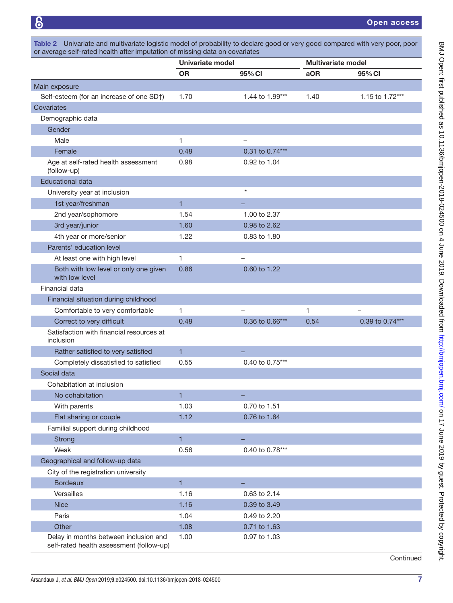<span id="page-6-0"></span>

|                                                                                   | Univariate model |                 | <b>Multivariate model</b> |                 |
|-----------------------------------------------------------------------------------|------------------|-----------------|---------------------------|-----------------|
|                                                                                   | <b>OR</b>        | 95% CI          | aOR                       | 95% CI          |
| Main exposure                                                                     |                  |                 |                           |                 |
| Self-esteem (for an increase of one SD†)                                          | 1.70             | 1.44 to 1.99*** | 1.40                      | 1.15 to 1.72*** |
| Covariates                                                                        |                  |                 |                           |                 |
| Demographic data                                                                  |                  |                 |                           |                 |
| Gender                                                                            |                  |                 |                           |                 |
| Male                                                                              | 1                |                 |                           |                 |
| Female                                                                            | 0.48             | 0.31 to 0.74*** |                           |                 |
| Age at self-rated health assessment<br>(follow-up)                                | 0.98             | 0.92 to 1.04    |                           |                 |
| <b>Educational data</b>                                                           |                  |                 |                           |                 |
| University year at inclusion                                                      |                  | $\star$         |                           |                 |
| 1st year/freshman                                                                 | $\blacksquare$   |                 |                           |                 |
| 2nd year/sophomore                                                                | 1.54             | 1.00 to 2.37    |                           |                 |
| 3rd year/junior                                                                   | 1.60             | 0.98 to 2.62    |                           |                 |
| 4th year or more/senior                                                           | 1.22             | 0.83 to 1.80    |                           |                 |
| Parents' education level                                                          |                  |                 |                           |                 |
| At least one with high level                                                      | 1                |                 |                           |                 |
| Both with low level or only one given<br>with low level                           | 0.86             | 0.60 to 1.22    |                           |                 |
| Financial data                                                                    |                  |                 |                           |                 |
| Financial situation during childhood                                              |                  |                 |                           |                 |
| Comfortable to very comfortable                                                   | 1                |                 | 1                         |                 |
| Correct to very difficult                                                         | 0.48             | 0.36 to 0.66*** | 0.54                      | 0.39 to 0.74*** |
| Satisfaction with financial resources at<br>inclusion                             |                  |                 |                           |                 |
| Rather satisfied to very satisfied                                                | $\mathbf{1}$     |                 |                           |                 |
| Completely dissatisfied to satisfied                                              | 0.55             | 0.40 to 0.75*** |                           |                 |
| Social data                                                                       |                  |                 |                           |                 |
| Cohabitation at inclusion                                                         |                  |                 |                           |                 |
| No cohabitation                                                                   | $\blacksquare$   |                 |                           |                 |
| With parents                                                                      | 1.03             | 0.70 to 1.51    |                           |                 |
| Flat sharing or couple                                                            | 1.12             | 0.76 to 1.64    |                           |                 |
| Familial support during childhood                                                 |                  |                 |                           |                 |
| <b>Strong</b>                                                                     | $\mathbf{1}$     |                 |                           |                 |
| Weak                                                                              | 0.56             | 0.40 to 0.78*** |                           |                 |
| Geographical and follow-up data                                                   |                  |                 |                           |                 |
| City of the registration university                                               |                  |                 |                           |                 |
| <b>Bordeaux</b>                                                                   | $\mathbf{1}$     |                 |                           |                 |
| Versailles                                                                        | 1.16             | 0.63 to 2.14    |                           |                 |
| <b>Nice</b>                                                                       | 1.16             | 0.39 to 3.49    |                           |                 |
| Paris                                                                             | 1.04             | 0.49 to 2.20    |                           |                 |
| Other                                                                             | 1.08             | 0.71 to 1.63    |                           |                 |
| Delay in months between inclusion and<br>self-rated health assessment (follow-up) | 1.00             | 0.97 to 1.03    |                           |                 |

Continued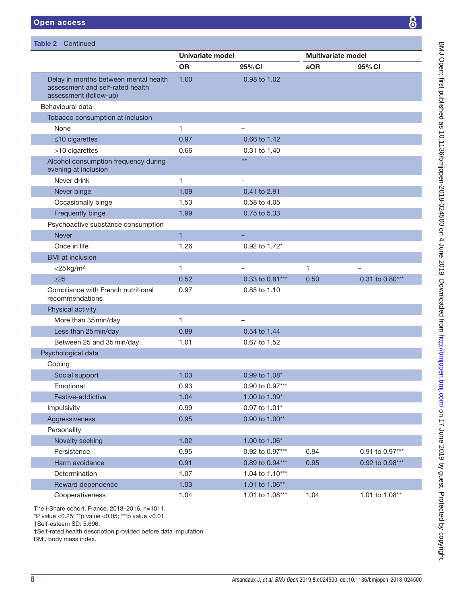Table 2 Continued

Alcohol consumption frequency during

Never drink the contract of the contract of the contract of the contract of the contract of the contract of the contract of the contract of the contract of the contract of the contract of the contract of the contract of th

Never binge 1.09 0.41 to 2.91 Occasionally binge 1.53 0.58 to 4.05

evening at inclusion

| pen access                                                                                          |                  |              |                           |        |
|-----------------------------------------------------------------------------------------------------|------------------|--------------|---------------------------|--------|
|                                                                                                     |                  |              |                           |        |
| ble 2 Continued                                                                                     |                  |              |                           |        |
|                                                                                                     | Univariate model |              | <b>Multivariate model</b> |        |
|                                                                                                     | <b>OR</b>        | 95% CI       | aOR                       | 95% CI |
| Delay in months between mental health<br>assessment and self-rated health<br>assessment (follow-up) | 1.00             | 0.98 to 1.02 |                           |        |
| Behavioural data                                                                                    |                  |              |                           |        |
| Tobacco consumption at inclusion                                                                    |                  |              |                           |        |
| None                                                                                                | 1                | -            |                           |        |
| $\leq$ 10 cigarettes                                                                                | 0.97             | 0.66 to 1.42 |                           |        |
| >10 cigarettes                                                                                      | 0.66             | 0.31 to 1.40 |                           |        |

\*\*

| Frequently binge                                      | 1.99           | 0.75 to 5.33             |      |                 |
|-------------------------------------------------------|----------------|--------------------------|------|-----------------|
| Psychoactive substance consumption                    |                |                          |      |                 |
| <b>Never</b>                                          | $\overline{1}$ |                          |      |                 |
| Once in life                                          | 1.26           | 0.92 to 1.72*            |      |                 |
| <b>BMI</b> at inclusion                               |                |                          |      |                 |
| $<$ 25 kg/m <sup>2</sup>                              | 1              |                          | 1    |                 |
| $\geq$ 25                                             | 0.52           | 0.33 to 0.81***          | 0.50 | 0.31 to 0.80*** |
| Compliance with French nutritional<br>recommendations | 0.97           | 0.85 to 1.10             |      |                 |
| Physical activity                                     |                |                          |      |                 |
| More than 35 min/day                                  | 1              | $\overline{\phantom{0}}$ |      |                 |
| Less than 25 min/day                                  | 0.89           | 0.54 to 1.44             |      |                 |
| Between 25 and 35 min/day                             | 1.01           | 0.67 to 1.52             |      |                 |
| Psychological data                                    |                |                          |      |                 |
| Coping                                                |                |                          |      |                 |
| Social support                                        | 1.03           | 0.99 to 1.08*            |      |                 |
| Emotional                                             | 0.93           | 0.90 to 0.97***          |      |                 |
| Festive-addictive                                     | 1.04           | 1.00 to 1.09*            |      |                 |
| <b>Impulsivity</b>                                    | 0.99           | 0.97 to 1.01*            |      |                 |
| Aggressiveness                                        | 0.95           | 0.90 to 1.00**           |      |                 |
| Personality                                           |                |                          |      |                 |
| Novelty seeking                                       | 1.02           | 1.00 to 1.06*            |      |                 |
| Persistence                                           | 0.95           | 0.92 to 0.97***          | 0.94 | 0.91 to 0.97*** |
| Harm avoidance                                        | 0.91           | 0.89 to 0.94***          | 0.95 | 0.92 to 0.98*** |
| Determination                                         | 1.07           | 1.04 to 1.10***          |      |                 |
| Reward dependence                                     | 1.03           | 1.01 to 1.06**           |      |                 |
| Cooperativeness                                       | 1.04           | 1.01 to 1.08***          | 1.04 | 1.01 to 1.08**  |

†Self-esteem SD: 5.696.

‡Self-rated health description provided before data imputation.

BMI, body mass index.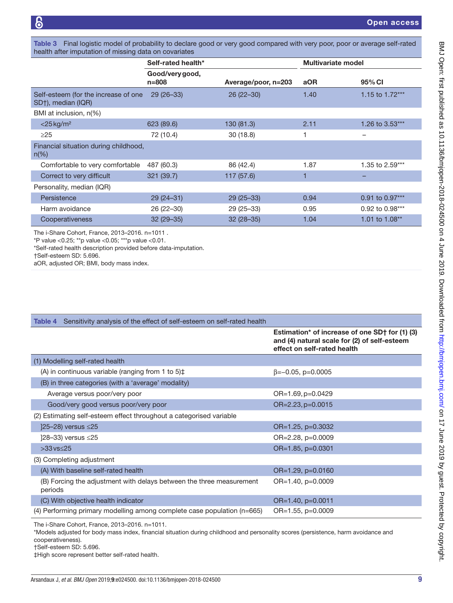<span id="page-8-0"></span>Table 3 Final logistic model of probability to declare good or very good compared with very poor, poor or average self-rated health after imputation of missing data on covariates

|                                                            | Self-rated health*           |                     | <b>Multivariate model</b> |                     |
|------------------------------------------------------------|------------------------------|---------------------|---------------------------|---------------------|
|                                                            | Good/very good,<br>$n = 808$ | Average/poor, n=203 | aOR                       | 95% CI              |
| Self-esteem (for the increase of one<br>SD†), median (IQR) | $29(26-33)$                  | $26(22-30)$         | 1.40                      | 1.15 to 1.72***     |
| BMI at inclusion, n(%)                                     |                              |                     |                           |                     |
| $<$ 25 kg/m <sup>2</sup>                                   | 623 (89.6)                   | 130 (81.3)          | 2.11                      | 1.26 to 3.53***     |
| $\geq$ 25                                                  | 72 (10.4)                    | 30(18.8)            |                           |                     |
| Financial situation during childhood,<br>$n(\%)$           |                              |                     |                           |                     |
| Comfortable to very comfortable                            | 487 (60.3)                   | 86 (42.4)           | 1.87                      | 1.35 to 2.59***     |
| Correct to very difficult                                  | 321 (39.7)                   | 117 (57.6)          | F                         |                     |
| Personality, median (IQR)                                  |                              |                     |                           |                     |
| Persistence                                                | $29(24-31)$                  | $29(25-33)$         | 0.94                      | $0.91$ to $0.97***$ |
| Harm avoidance                                             | $26(22-30)$                  | $29(25-33)$         | 0.95                      | 0.92 to 0.98***     |
| Cooperativeness                                            | $32(29 - 35)$                | $32(28-35)$         | 1.04                      | 1.01 to 1.08**      |

The i-Share Cohort, France, 2013–2016. n=1011 .

\*P value <0.25; \*\*p value <0.05; \*\*\*p value <0.01.

\*Self-rated health description provided before data-imputation.

†Self-esteem SD: 5.696.

aOR, adjusted OR; BMI, body mass index.

<span id="page-8-1"></span>

| Sensitivity analysis of the effect of self-esteem on self-rated health<br>Table 4 |                                                                                                                               |
|-----------------------------------------------------------------------------------|-------------------------------------------------------------------------------------------------------------------------------|
|                                                                                   | Estimation* of increase of one SD† for (1) (3)<br>and (4) natural scale for (2) of self-esteem<br>effect on self-rated health |
| (1) Modelling self-rated health                                                   |                                                                                                                               |
| (A) in continuous variable (ranging from 1 to $5\frac{1}{4}$                      | $\beta = -0.05$ , p=0.0005                                                                                                    |
| (B) in three categories (with a 'average' modality)                               |                                                                                                                               |
| Average versus poor/very poor                                                     | $OR=1.69$ , $p=0.0429$                                                                                                        |
| Good/very good versus poor/very poor                                              | OR=2.23, p=0.0015                                                                                                             |
| (2) Estimating self-esteem effect throughout a categorised variable               |                                                                                                                               |
| ]25-28) versus ≤25                                                                | OR=1.25, p=0.3032                                                                                                             |
| [28-33) versus ≤25                                                                | OR=2.28, p=0.0009                                                                                                             |
| $>33$ vs $< 25$                                                                   | OR=1.85, p=0.0301                                                                                                             |
| (3) Completing adjustment                                                         |                                                                                                                               |
| (A) With baseline self-rated health                                               | $OR=1.29$ , $p=0.0160$                                                                                                        |
| (B) Forcing the adjustment with delays between the three measurement<br>periods   | $OR=1.40$ , $p=0.0009$                                                                                                        |
| (C) With objective health indicator                                               | $OR=1.40$ , $p=0.0011$                                                                                                        |
| $(4)$ Performing primary modelling among complete case population ( $n=665$ )     | $OR=1.55$ , $p=0.0009$                                                                                                        |
|                                                                                   |                                                                                                                               |

The i-Share Cohort, France, 2013–2016. n=1011.

\*Models adjusted for body mass index, financial situation during childhood and personality scores (persistence, harm avoidance and cooperativeness).

†Self-esteem SD: 5.696.

‡High score represent better self-rated health.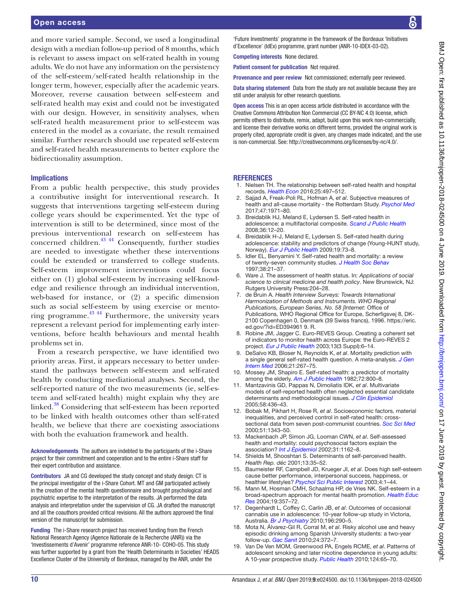and more varied sample. Second, we used a longitudinal design with a median follow-up period of 8 months, which is relevant to assess impact on self-rated health in young adults. We do not have any information on the persistency of the self-esteem/self-rated health relationship in the longer term, however, especially after the academic years. Moreover, reverse causation between self-esteem and self-rated health may exist and could not be investigated with our design. However, in sensitivity analyses, when self-rated health measurement prior to self-esteem was entered in the model as a covariate, the result remained similar. Further research should use repeated self-esteem and self-rated health measurements to better explore the bidirectionality assumption.

#### Implications

From a public health perspective, this study provides a contributive insight for interventional research. It suggests that interventions targeting self-esteem during college years should be experimented. Yet the type of intervention is still to be determined, since most of the previous interventional research on self-esteem has concerned children. $43 \frac{43}{44}$  Consequently, further studies are needed to investigate whether these interventions could be extended or transferred to college students. Self-esteem improvement interventions could focus either on (1) global self-esteem by increasing self-knowledge and resilience through an individual intervention, web-based for instance, or (2) a specific dimension such as social self-esteem by using exercise or mentoring programme. $^{43}$ <sup>44</sup> Furthermore, the university years represent a relevant period for implementing early interventions, before health behaviours and mental health problems set in.

From a research perspective, we have identified two priority areas. First, it appears necessary to better understand the pathways between self-esteem and self-rated health by conducting mediational analyses. Second, the self-reported nature of the two measurements (ie, self-esteem and self-rated health) might explain why they are linked.<sup>38</sup> Considering that self-esteem has been reported to be linked with health outcomes other than self-rated health, we believe that there are coexisting associations with both the evaluation framework and health.

Acknowledgements The authors are indebted to the participants of the i-Share project for their commitment and cooperation and to the entire i-Share staff for their expert contribution and assistance.

Contributors JA and CG developed the study concept and study design. CT is the principal investigator of the i-Share Cohort. MT and GM participated actively in the creation of the mental health questionnaire and brought psychological and psychiatric expertise to the interpretation of the results. JA performed the data analysis and interpretation under the supervision of CG. JA drafted the manuscript and all the coauthors provided critical revisions. All the authors approved the final version of the manuscript for submission.

Funding The i-Share research project has received funding from the French National Research Agency (Agence Nationale de la Recherche (ANR)) via the 'Investissements d'Avenir' programme reference ANR-10- COHO-05. This study was further supported by a grant from the 'Health Determinants in Societies' HEADS Excellence Cluster of the University of Bordeaux, managed by the ANR, under the

'Future Investments' programme in the framework of the Bordeaux 'Initiatives d'Excellence' (IdEx) programme, grant number (ANR-10-IDEX-03-02).

Competing interests None declared.

Patient consent for publication Not required.

Provenance and peer review Not commissioned; externally peer reviewed.

Data sharing statement Data from the study are not available because they are still under analysis for other research questions.

Open access This is an open access article distributed in accordance with the Creative Commons Attribution Non Commercial (CC BY-NC 4.0) license, which permits others to distribute, remix, adapt, build upon this work non-commercially, and license their derivative works on different terms, provided the original work is properly cited, appropriate credit is given, any changes made indicated, and the use is non-commercial. See: [http://creativecommons.org/licenses/by-nc/4.0/.](http://creativecommons.org/licenses/by-nc/4.0/)

#### **REFERENCES**

- <span id="page-9-0"></span>1. Nielsen TH. The relationship between self-rated health and hospital records. *[Health Econ](http://dx.doi.org/10.1002/hec.3167)* 2016;25:497–512.
- 2. Sajjad A, Freak-Poli RL, Hofman A, *et al*. Subjective measures of health and all-cause mortality - the Rotterdam Study. *[Psychol Med](http://dx.doi.org/10.1017/S0033291717000381)* 2017;47:1971–80.
- Breidablik HJ, Meland E, Lydersen S. Self-rated health in adolescence: a multifactorial composite. *[Scand J Public Health](http://dx.doi.org/10.1177/1403494807085306)* 2008;36:12–20.
- 4. Breidablik H-J, Meland E, Lydersen S. Self-rated health during adolescence: stability and predictors of change (Young-HUNT study, Norway). *[Eur J Public Health](http://dx.doi.org/10.1093/eurpub/ckn111)* 2009;19:73–8.
- Idler EL, Benyamini Y. Self-rated health and mortality: a review of twenty-seven community studies. *[J Health Soc Behav](http://dx.doi.org/10.2307/2955359)* 1997;38:21–37.
- <span id="page-9-1"></span>6. Ware J. The assessment of health status. In: *Applications of social science to clinical medicine and health policy*. New Brunswick, NJ: Rutgers University Press:204–28.
- <span id="page-9-9"></span>7. de Bruin A. *Health Interview Surveys: Towards International Harmonization of Methods and Instruments. WHO Regional Publications, European Series, No. 58 [Internet*: Office of Publications, WHO Regional Office for Europe, Scherfigsvej 8, DK-2100 Copenhagen 0, Denmark (39 Swiss francs), 1996. [https://eric.](https://eric.ed.gov/?id=ED394961 9. R) [ed.gov/?id=ED394961 9. R](https://eric.ed.gov/?id=ED394961 9. R).
- Robine JM, Jagger C. Euro-REVES Group. Creating a coherent set of indicators to monitor health across Europe: the Euro-REVES 2 project. *[Eur J Public Health](http://dx.doi.org/10.1093/eurpub/13.suppl_1.6)* 2003;13(3 Suppl):6–14.
- 9. DeSalvo KB, Bloser N, Reynolds K, *et al*. Mortality prediction with a single general self-rated health question. A meta-analysis. *[J Gen](http://dx.doi.org/10.1111/j.1525-1497.2005.00291.x)  [Intern Med](http://dx.doi.org/10.1111/j.1525-1497.2005.00291.x)* 2006;21:267–75.
- <span id="page-9-2"></span>10. Mossey JM, Shapiro E. Self-rated health: a predictor of mortality among the elderly. *[Am J Public Health](http://dx.doi.org/10.2105/AJPH.72.8.800)* 1982;72:800–8.
- <span id="page-9-3"></span>11. Mantzavinis GD, Pappas N, Dimoliatis IDK, *et al*. Multivariate models of self-reported health often neglected essential candidate determinants and methodological issues. *[J Clin Epidemiol](http://dx.doi.org/10.1016/j.jclinepi.2004.08.016)* 2005;58:436–43.
- <span id="page-9-4"></span>12. Bobak M, Pikhart H, Rose R, *et al*. Socioeconomic factors, material inequalities, and perceived control in self-rated health: crosssectional data from seven post-communist countries. *[Soc Sci Med](http://dx.doi.org/10.1016/S0277-9536(00)00096-4)* 2000;51:1343–50.
- <span id="page-9-5"></span>13. Mackenbach JP, Simon JG, Looman CWN, *et al*. Self-assessed health and mortality: could psychosocial factors explain the association? *[Int J Epidemiol](http://dx.doi.org/10.1093/ije/31.6.1162)* 2002;31:1162–8.
- <span id="page-9-6"></span>14. Shields M, Shooshtari S. Determinants of self-perceived health. *Health Rep. déc* 2001;13:35–52.
- <span id="page-9-7"></span>15. Baumeister RF, Campbell JD, Krueger JI, *et al*. Does high self-esteem cause better performance, interpersonal success, happiness, or healthier lifestyles? *[Psychol Sci Public Interest](http://dx.doi.org/10.1111/1529-1006.01431)* 2003;4:1–44.
- <span id="page-9-10"></span>16. Mann M, Hosman CMH, Schaalma HP, de Vries NK. Self-esteem in a broad-spectrum approach for mental health promotion. *[Health Educ](http://dx.doi.org/10.1093/her/cyg041)  [Res](http://dx.doi.org/10.1093/her/cyg041)* 2004;19:357–72.
- <span id="page-9-8"></span>17. Degenhardt L, Coffey C, Carlin JB, *et al*. Outcomes of occasional cannabis use in adolescence: 10-year follow-up study in Victoria, Australia. *[Br J Psychiatry](http://dx.doi.org/10.1192/bjp.bp.108.056952)* 2010;196:290–5.
- 18. Mota N, Álvarez-Gil R, Corral M, *et al*. Risky alcohol use and heavy episodic drinking among Spanish University students: a two-year follow-up. *[Gac Sanit](http://dx.doi.org/10.1016/j.gaceta.2010.02.013)* 2010;24:372–7.
- 19. Van De Ven MOM, Greenwood PA, Engels RCME, *et al*. Patterns of adolescent smoking and later nicotine dependence in young adults: A 10-year prospective study. *[Public Health](http://dx.doi.org/10.1016/j.puhe.2009.11.009)* 2010;124:65–70.